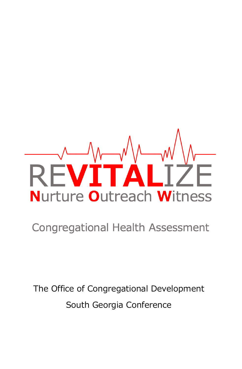# $\Delta$ **Nurture Outreach Witness**

#### **Congregational Health Assessment**

The Office of Congregational Development South Georgia Conference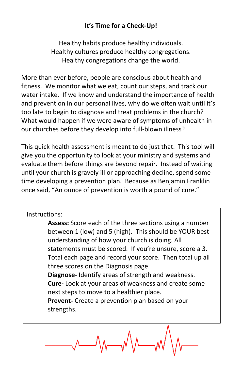#### **It's Time for a Check-Up!**

Healthy habits produce healthy individuals. Healthy cultures produce healthy congregations. Healthy congregations change the world.

More than ever before, people are conscious about health and fitness. We monitor what we eat, count our steps, and track our water intake. If we know and understand the importance of health and prevention in our personal lives, why do we often wait until it's too late to begin to diagnose and treat problems in the church? What would happen if we were aware of symptoms of unhealth in our churches before they develop into full-blown illness?

This quick health assessment is meant to do just that. This tool will give you the opportunity to look at your ministry and systems and evaluate them before things are beyond repair. Instead of waiting until your church is gravely ill or approaching decline, spend some time developing a prevention plan. Because as Benjamin Franklin once said, "An ounce of prevention is worth a pound of cure."

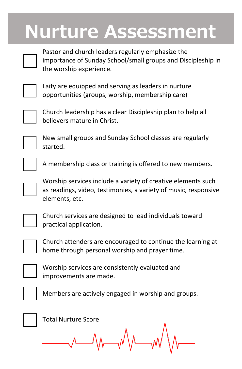#### **Nurture Assessment**



Pastor and church leaders regularly emphasize the importance of Sunday School/small groups and Discipleship in the worship experience.



Laity are equipped and serving as leaders in nurture opportunities (groups, worship, membership care)



Church leadership has a clear Discipleship plan to help all believers mature in Christ.



New small groups and Sunday School classes are regularly started.



A membership class or training is offered to new members.

Worship services include a variety of creative elements such as readings, video, testimonies, a variety of music, responsive elements, etc.

Church services are designed to lead individuals toward practical application.



Church attenders are encouraged to continue the learning at home through personal worship and prayer time.



Worship services are consistently evaluated and improvements are made.



Members are actively engaged in worship and groups.



Total Nurture Score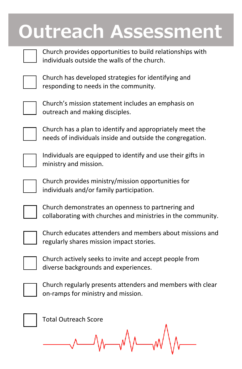### **Outreach Assessment**



Church provides opportunities to build relationships with individuals outside the walls of the church.



Church has developed strategies for identifying and responding to needs in the community.



Church's mission statement includes an emphasis on outreach and making disciples.



Church has a plan to identify and appropriately meet the needs of individuals inside and outside the congregation.



Individuals are equipped to identify and use their gifts in ministry and mission.



Church provides ministry/mission opportunities for individuals and/or family participation.



Church demonstrates an openness to partnering and collaborating with churches and ministries in the community.



Church educates attenders and members about missions and regularly shares mission impact stories.



Church actively seeks to invite and accept people from diverse backgrounds and experiences.



Church regularly presents attenders and members with clear on-ramps for ministry and mission.



Total Outreach Score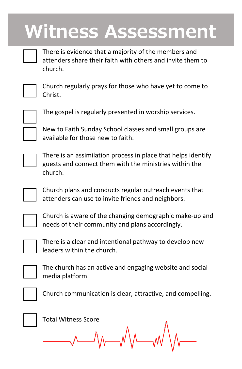#### **Witness Assessment**



There is evidence that a majority of the members and attenders share their faith with others and invite them to church.



Church regularly prays for those who have yet to come to Christ.



The gospel is regularly presented in worship services.

New to Faith Sunday School classes and small groups are available for those new to faith.



There is an assimilation process in place that helps identify guests and connect them with the ministries within the church.

Church plans and conducts regular outreach events that attenders can use to invite friends and neighbors.



Church is aware of the changing demographic make-up and needs of their community and plans accordingly.



There is a clear and intentional pathway to develop new leaders within the church.



The church has an active and engaging website and social media platform.



Church communication is clear, attractive, and compelling.



Total Witness Score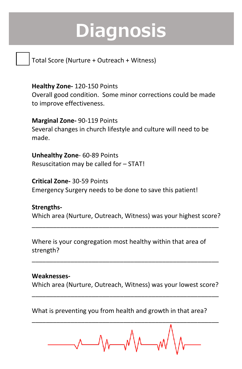## **Diagnosis**

Total Score (Nurture + Outreach + Witness)

**Healthy Zone-** 120-150 Points Overall good condition. Some minor corrections could be made to improve effectiveness.

**Marginal Zone-** 90-119 Points Several changes in church lifestyle and culture will need to be made.

**Unhealthy Zone**- 60-89 Points Resuscitation may be called for – STAT!

**Critical Zone-** 30-59 Points Emergency Surgery needs to be done to save this patient!

**Strengths-**Which area (Nurture, Outreach, Witness) was your highest score?

\_\_\_\_\_\_\_\_\_\_\_\_\_\_\_\_\_\_\_\_\_\_\_\_\_\_\_\_\_\_\_\_\_\_\_\_\_\_\_\_\_\_\_\_\_\_\_\_\_\_\_\_\_

Where is your congregation most healthy within that area of strength?

**Weaknesses-**

Which area (Nurture, Outreach, Witness) was your lowest score? \_\_\_\_\_\_\_\_\_\_\_\_\_\_\_\_\_\_\_\_\_\_\_\_\_\_\_\_\_\_\_\_\_\_\_\_\_\_\_\_\_\_\_\_\_\_\_\_\_\_\_\_\_

\_\_\_\_\_\_\_\_\_\_\_\_\_\_\_\_\_\_\_\_\_\_\_\_\_\_\_\_\_\_\_\_\_\_\_\_\_\_\_\_\_\_\_\_\_\_\_\_\_\_\_\_\_

What is preventing you from health and growth in that area?

\_\_\_\_\_\_\_\_\_\_\_\_\_\_\_\_\_\_\_\_\_\_\_\_\_\_\_\_\_\_\_\_\_\_\_\_\_\_\_\_\_\_\_\_\_\_\_\_\_\_\_\_\_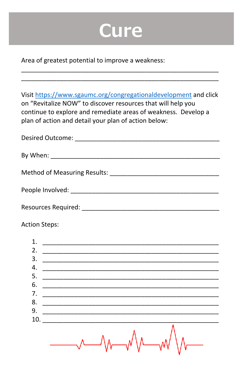#### **Cure**

Area of greatest potential to improve a weakness:

Visit https://www.sgaumc.org/congregationaldevelopment and click on "Revitalize NOW" to discover resources that will help you continue to explore and remediate areas of weakness. Develop a plan of action and detail your plan of action below:

| Desired Outcome: _______________      |
|---------------------------------------|
|                                       |
| By When: ____________________________ |
|                                       |
|                                       |
|                                       |
|                                       |
|                                       |
|                                       |
|                                       |

**Action Steps:** 

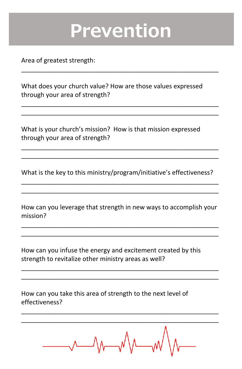#### **Prevention**

\_\_\_\_\_\_\_\_\_\_\_\_\_\_\_\_\_\_\_\_\_\_\_\_\_\_\_\_\_\_\_\_\_\_\_\_\_\_\_\_\_\_\_\_\_\_\_\_\_\_\_\_\_\_\_\_

\_\_\_\_\_\_\_\_\_\_\_\_\_\_\_\_\_\_\_\_\_\_\_\_\_\_\_\_\_\_\_\_\_\_\_\_\_\_\_\_\_\_\_\_\_\_\_\_\_\_\_\_\_\_\_\_ \_\_\_\_\_\_\_\_\_\_\_\_\_\_\_\_\_\_\_\_\_\_\_\_\_\_\_\_\_\_\_\_\_\_\_\_\_\_\_\_\_\_\_\_\_\_\_\_\_\_\_\_\_\_\_\_

Area of greatest strength:

What does your church value? How are those values expressed through your area of strength?

What is your church's mission? How is that mission expressed through your area of strength?

What is the key to this ministry/program/initiative's effectiveness? \_\_\_\_\_\_\_\_\_\_\_\_\_\_\_\_\_\_\_\_\_\_\_\_\_\_\_\_\_\_\_\_\_\_\_\_\_\_\_\_\_\_\_\_\_\_\_\_\_\_\_\_\_\_\_\_

\_\_\_\_\_\_\_\_\_\_\_\_\_\_\_\_\_\_\_\_\_\_\_\_\_\_\_\_\_\_\_\_\_\_\_\_\_\_\_\_\_\_\_\_\_\_\_\_\_\_\_\_\_\_\_\_ \_\_\_\_\_\_\_\_\_\_\_\_\_\_\_\_\_\_\_\_\_\_\_\_\_\_\_\_\_\_\_\_\_\_\_\_\_\_\_\_\_\_\_\_\_\_\_\_\_\_\_\_\_\_\_\_

How can you leverage that strength in new ways to accomplish your mission?

\_\_\_\_\_\_\_\_\_\_\_\_\_\_\_\_\_\_\_\_\_\_\_\_\_\_\_\_\_\_\_\_\_\_\_\_\_\_\_\_\_\_\_\_\_\_\_\_\_\_\_\_\_\_\_\_ \_\_\_\_\_\_\_\_\_\_\_\_\_\_\_\_\_\_\_\_\_\_\_\_\_\_\_\_\_\_\_\_\_\_\_\_\_\_\_\_\_\_\_\_\_\_\_\_\_\_\_\_\_\_\_\_

\_\_\_\_\_\_\_\_\_\_\_\_\_\_\_\_\_\_\_\_\_\_\_\_\_\_\_\_\_\_\_\_\_\_\_\_\_\_\_\_\_\_\_\_\_\_\_\_\_\_\_\_\_\_\_\_ \_\_\_\_\_\_\_\_\_\_\_\_\_\_\_\_\_\_\_\_\_\_\_\_\_\_\_\_\_\_\_\_\_\_\_\_\_\_\_\_\_\_\_\_\_\_\_\_\_\_\_\_\_\_\_\_

\_\_\_\_\_\_\_\_\_\_\_\_\_\_\_\_\_\_\_\_\_\_\_\_\_\_\_\_\_\_\_\_\_\_\_\_\_\_\_\_\_\_\_\_\_\_\_\_\_\_\_\_\_\_\_\_

How can you infuse the energy and excitement created by this strength to revitalize other ministry areas as well?

How can you take this area of strength to the next level of effectiveness?

\_\_\_\_\_\_\_\_\_\_\_\_\_\_\_\_\_\_\_\_\_\_\_\_\_\_\_\_\_\_\_\_\_\_\_\_\_\_\_\_\_\_\_\_\_\_\_\_\_\_\_\_\_\_\_\_ \_\_\_\_\_\_\_\_\_\_\_\_\_\_\_\_\_\_\_\_\_\_\_\_\_\_\_\_\_\_\_\_\_\_\_\_\_\_\_\_\_\_\_\_\_\_\_\_\_\_\_\_\_\_\_\_